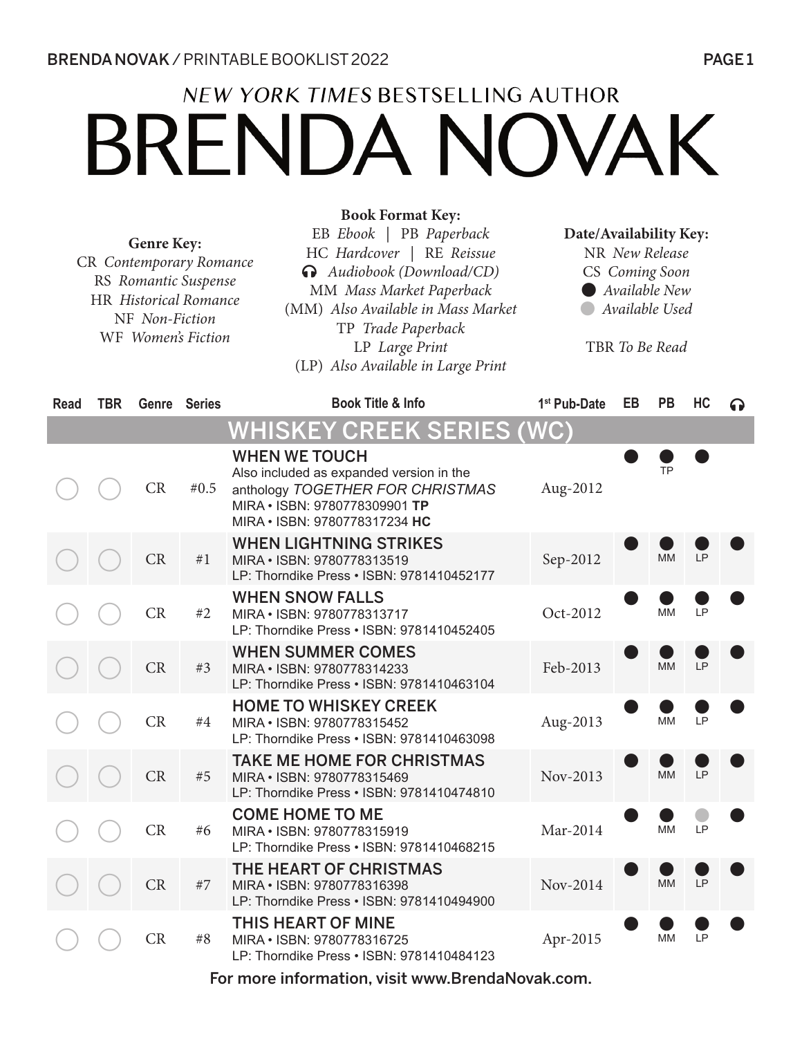# **NEW YORK TIMES BESTSELLING AUTHOR BRENDA NOVAK**

**Book Format Key:**

|      |            | <b>Genre Key:</b><br>CR Contemporary Romance<br>RS Romantic Suspense<br>HR Historical Romance<br>NF Non-Fiction<br>WF Women's Fiction |              | EB Ebook   PB Paperback<br>HC Hardcover   RE Reissue<br>Audiobook (Download/CD)<br>MM Mass Market Paperback<br>(MM) Also Available in Mass Market<br>TP Trade Paperback<br>LP Large Print<br>(LP) Also Available in Large Print | Date/Availability Key:<br>NR New Release<br>CS Coming Soon<br>Available New<br>Available Used<br>TBR To Be Read |    |           |           |     |
|------|------------|---------------------------------------------------------------------------------------------------------------------------------------|--------------|---------------------------------------------------------------------------------------------------------------------------------------------------------------------------------------------------------------------------------|-----------------------------------------------------------------------------------------------------------------|----|-----------|-----------|-----|
| Read | <b>TBR</b> |                                                                                                                                       | Genre Series | <b>Book Title &amp; Info</b>                                                                                                                                                                                                    | 1 <sup>st</sup> Pub-Date                                                                                        | EB | <b>PB</b> | HC        | 6 D |
|      |            |                                                                                                                                       |              | <u>WHISKEY CREEK SERIES (WC)</u>                                                                                                                                                                                                |                                                                                                                 |    |           |           |     |
|      |            | CR                                                                                                                                    | #0.5         | <b>WHEN WE TOUCH</b><br>Also included as expanded version in the<br>anthology TOGETHER FOR CHRISTMAS<br>MIRA . ISBN: 9780778309901 TP<br>MIRA . ISBN: 9780778317234 HC                                                          | Aug-2012                                                                                                        |    | TP        |           |     |
|      |            | CR                                                                                                                                    | #1           | <b>WHEN LIGHTNING STRIKES</b><br>MIRA . ISBN: 9780778313519<br>LP: Thorndike Press . ISBN: 9781410452177                                                                                                                        | Sep-2012                                                                                                        |    | <b>MM</b> | LP        |     |
|      |            | CR                                                                                                                                    | #2           | <b>WHEN SNOW FALLS</b><br>MIRA . ISBN: 9780778313717<br>LP: Thorndike Press . ISBN: 9781410452405                                                                                                                               | Oct-2012                                                                                                        |    | <b>MM</b> | LP        |     |
|      |            | CR                                                                                                                                    | #3           | <b>WHEN SUMMER COMES</b><br>MIRA . ISBN: 9780778314233<br>LP: Thorndike Press · ISBN: 9781410463104                                                                                                                             | Feb-2013                                                                                                        |    | <b>MM</b> | <b>LP</b> |     |
|      |            | CR                                                                                                                                    | #4           | <b>HOME TO WHISKEY CREEK</b><br>MIRA . ISBN: 9780778315452<br>LP: Thorndike Press . ISBN: 9781410463098                                                                                                                         | Aug-2013                                                                                                        |    | MM        | LP        |     |
|      |            | CR                                                                                                                                    | #5           | <b>TAKE ME HOME FOR CHRISTMAS</b><br>MIRA · ISBN: 9780778315469<br>LP: Thorndike Press . ISBN: 9781410474810                                                                                                                    | Nov-2013                                                                                                        |    | <b>MM</b> | LP        |     |
|      |            | CR                                                                                                                                    | #6           | <b>COME HOME TO ME</b><br>MIRA . ISBN: 9780778315919<br>LP: Thorndike Press . ISBN: 9781410468215                                                                                                                               | Mar-2014                                                                                                        |    | MM        | LP        |     |
|      |            | ${\cal CR}$                                                                                                                           | #7           | THE HEART OF CHRISTMAS<br>MIRA . ISBN: 9780778316398<br>LP: Thorndike Press . ISBN: 9781410494900                                                                                                                               | Nov-2014                                                                                                        |    | <b>MM</b> | <b>LP</b> |     |
|      |            | CR                                                                                                                                    | #8           | <b>THIS HEART OF MINE</b><br>MIRA . ISBN: 9780778316725<br>LP: Thorndike Press . ISBN: 9781410484123                                                                                                                            | Apr-2015                                                                                                        |    | MM        | LP        |     |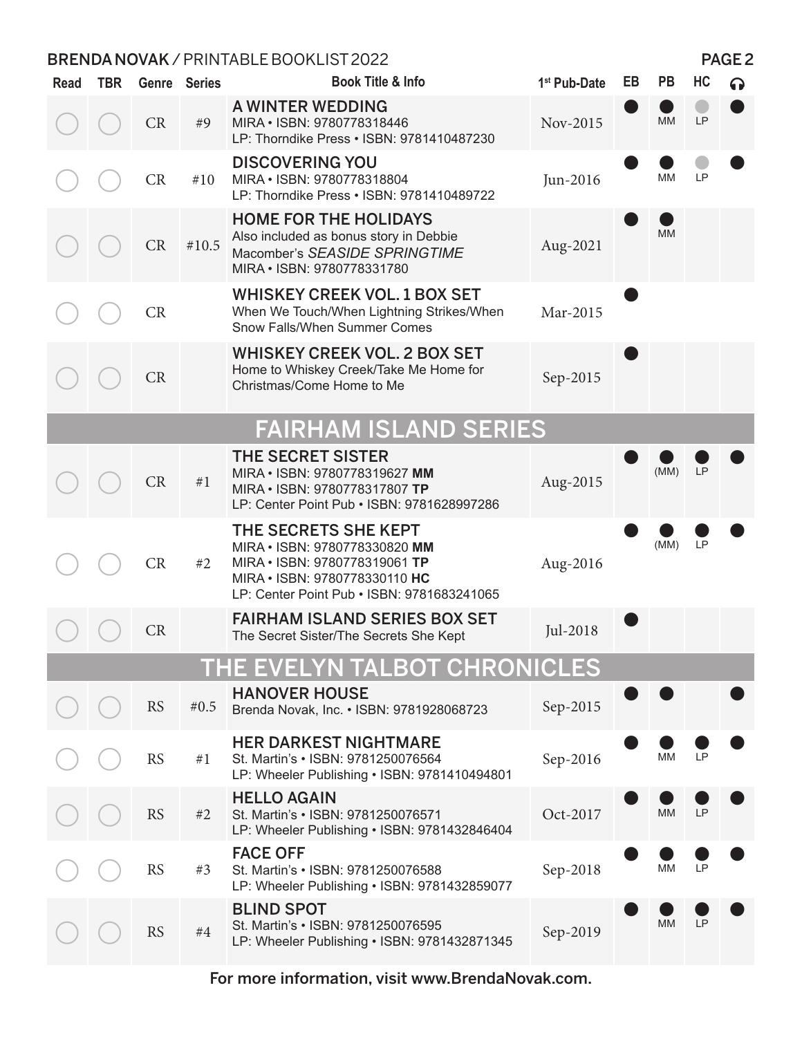| <b>Read</b> | <b>TBR</b> |           | Genre Series | <b>Book Title &amp; Info</b>                                                                                                                                          | 1 <sup>st</sup> Pub-Date | EB | <b>PB</b> | HC |  |
|-------------|------------|-----------|--------------|-----------------------------------------------------------------------------------------------------------------------------------------------------------------------|--------------------------|----|-----------|----|--|
|             |            | CR        | #9           | A WINTER WEDDING<br>MIRA . ISBN: 9780778318446<br>LP: Thorndike Press . ISBN: 9781410487230                                                                           | Nov-2015                 |    | MM        | LP |  |
|             |            | CR        | #10          | <b>DISCOVERING YOU</b><br>MIRA . ISBN: 9780778318804<br>LP: Thorndike Press . ISBN: 9781410489722                                                                     | Jun-2016                 |    | МM        | LP |  |
|             |            | CR        | #10.5        | <b>HOME FOR THE HOLIDAYS</b><br>Also included as bonus story in Debbie<br>Macomber's SEASIDE SPRINGTIME<br>MIRA . ISBN: 9780778331780                                 | Aug-2021                 |    | <b>MM</b> |    |  |
|             |            | CR        |              | <b>WHISKEY CREEK VOL. 1 BOX SET</b><br>When We Touch/When Lightning Strikes/When<br>Snow Falls/When Summer Comes                                                      | Mar-2015                 |    |           |    |  |
|             |            | CR        |              | <b>WHISKEY CREEK VOL. 2 BOX SET</b><br>Home to Whiskey Creek/Take Me Home for<br>Christmas/Come Home to Me                                                            | Sep-2015                 |    |           |    |  |
|             |            |           |              | <b>FAIRHAM ISLAND SERIES</b>                                                                                                                                          |                          |    |           |    |  |
|             |            | CR        | #1           | <b>THE SECRET SISTER</b><br>MIRA . ISBN: 9780778319627 MM<br>MIRA . ISBN: 9780778317807 TP<br>LP: Center Point Pub . ISBN: 9781628997286                              | Aug-2015                 |    | (MM)      | LP |  |
|             |            | CR        | #2           | THE SECRETS SHE KEPT<br>MIRA . ISBN: 9780778330820 MM<br>MIRA . ISBN: 9780778319061 TP<br>MIRA . ISBN: 9780778330110 HC<br>LP: Center Point Pub . ISBN: 9781683241065 | Aug-2016                 |    | (MM)      | LP |  |
|             |            | <b>CR</b> |              | <b>FAIRHAM ISLAND SERIES BOX SET</b><br>The Secret Sister/The Secrets She Kept                                                                                        | Jul-2018                 |    |           |    |  |
|             |            |           |              | THE EVELYN TALBOT CHRONICLES                                                                                                                                          |                          |    |           |    |  |
|             |            | <b>RS</b> | #0.5         | <b>HANOVER HOUSE</b><br>Brenda Novak, Inc. • ISBN: 9781928068723                                                                                                      | Sep-2015                 |    |           |    |  |
|             |            | <b>RS</b> | #1           | <b>HER DARKEST NIGHTMARE</b><br>St. Martin's . ISBN: 9781250076564<br>LP: Wheeler Publishing . ISBN: 9781410494801                                                    | Sep-2016                 |    | <b>MM</b> | LP |  |
|             |            | <b>RS</b> | #2           | <b>HELLO AGAIN</b><br>St. Martin's . ISBN: 9781250076571<br>LP: Wheeler Publishing . ISBN: 9781432846404                                                              | Oct-2017                 |    | MM        | LP |  |
|             |            | <b>RS</b> | #3           | <b>FACE OFF</b><br>St. Martin's . ISBN: 9781250076588<br>LP: Wheeler Publishing . ISBN: 9781432859077                                                                 | Sep-2018                 |    | <b>MM</b> | LP |  |
|             |            | <b>RS</b> | $\#4$        | <b>BLIND SPOT</b><br>St. Martin's . ISBN: 9781250076595<br>LP: Wheeler Publishing . ISBN: 9781432871345                                                               | Sep-2019                 |    | <b>MM</b> | LP |  |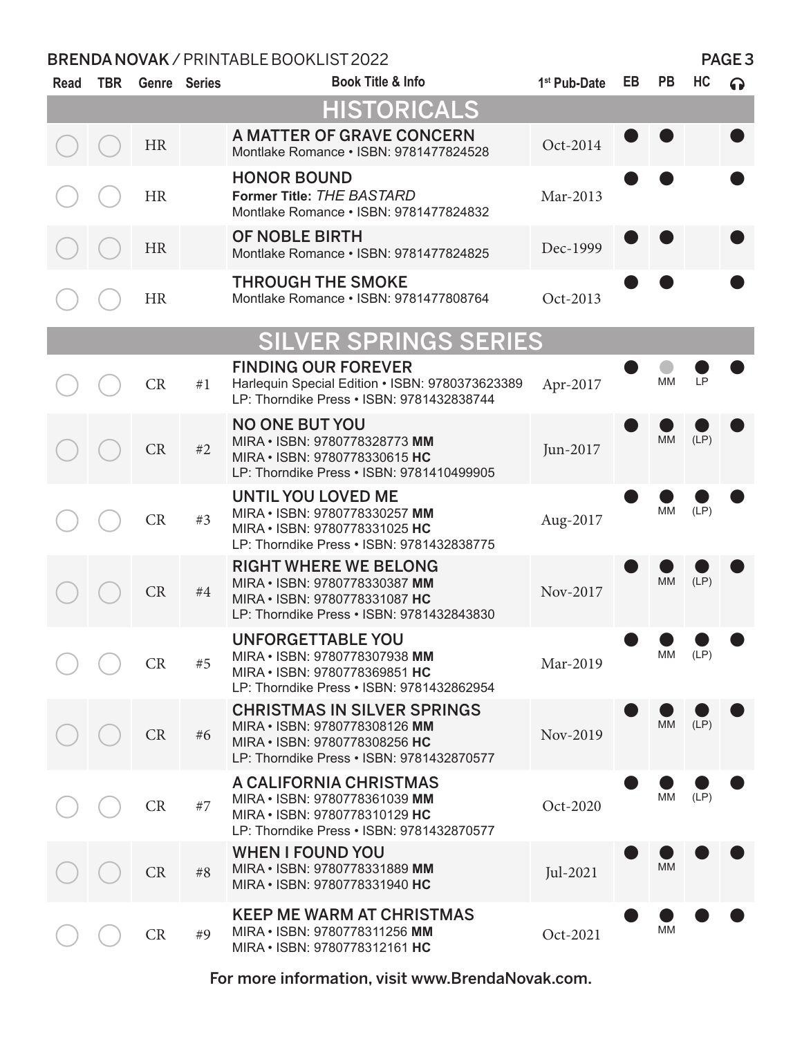| <b>Read</b> | <b>TBR</b> |           | <b>Genre</b> Series | <b>Book Title &amp; Info</b>                                                                                                                      | 1 <sup>st</sup> Pub-Date | EB | <b>PB</b> | HC         | $\Omega$ |
|-------------|------------|-----------|---------------------|---------------------------------------------------------------------------------------------------------------------------------------------------|--------------------------|----|-----------|------------|----------|
|             |            |           |                     | <b>HISTORICALS</b>                                                                                                                                |                          |    |           |            |          |
|             |            | <b>HR</b> |                     | A MATTER OF GRAVE CONCERN<br>Montlake Romance · ISBN: 9781477824528                                                                               | Oct-2014                 |    |           |            |          |
|             |            | <b>HR</b> |                     | <b>HONOR BOUND</b><br>Former Title: THE BASTARD<br>Montlake Romance . ISBN: 9781477824832                                                         | Mar-2013                 |    |           |            |          |
|             |            | <b>HR</b> |                     | OF NOBLE BIRTH<br>Montlake Romance . ISBN: 9781477824825                                                                                          | Dec-1999                 |    |           |            |          |
|             |            | <b>HR</b> |                     | <b>THROUGH THE SMOKE</b><br>Montlake Romance . ISBN: 9781477808764                                                                                | Oct-2013                 |    |           |            |          |
|             |            |           |                     | <b>SILVER SPRINGS SERIES</b>                                                                                                                      |                          |    |           |            |          |
|             |            | CR        | #1                  | <b>FINDING OUR FOREVER</b><br>Harlequin Special Edition • ISBN: 9780373623389<br>LP: Thorndike Press . ISBN: 9781432838744                        | Apr-2017                 |    | <b>MM</b> | LP         |          |
|             |            | CR        | #2                  | <b>NO ONE BUT YOU</b><br>MIRA . ISBN: 9780778328773 MM<br>MIRA . ISBN: 9780778330615 HC<br>LP: Thorndike Press . ISBN: 9781410499905              | Jun-2017                 |    | МM        | (LP)       |          |
|             |            | <b>CR</b> | #3                  | <b>UNTIL YOU LOVED ME</b><br>MIRA . ISBN: 9780778330257 MM<br>MIRA . ISBN: 9780778331025 HC<br>LP: Thorndike Press . ISBN: 9781432838775          | Aug-2017                 |    | MМ        | (LP)       |          |
|             |            | <b>CR</b> | $\#4$               | <b>RIGHT WHERE WE BELONG</b><br>MIRA . ISBN: 9780778330387 MM<br>MIRA . ISBN: 9780778331087 HC<br>LP: Thorndike Press . ISBN: 9781432843830       | Nov-2017                 |    | <b>MM</b> | (LP)       |          |
|             |            | CR        | #5                  | <b>UNFORGETTABLE YOU</b><br>MIRA • ISBN: 9780778307938 MM<br>MIRA . ISBN: 9780778369851 HC<br>LP: Thorndike Press . ISBN: 9781432862954           | Mar-2019                 |    |           | $MNI$ (LP) |          |
|             |            | CR        | #6                  | <b>CHRISTMAS IN SILVER SPRINGS</b><br>MIRA . ISBN: 9780778308126 MM<br>MIRA . ISBN: 9780778308256 HC<br>LP: Thorndike Press . ISBN: 9781432870577 | Nov-2019                 |    | <b>MM</b> | (LP)       |          |
|             |            | CR        | #7                  | A CALIFORNIA CHRISTMAS<br>MIRA . ISBN: 9780778361039 MM<br>MIRA . ISBN: 9780778310129 HC<br>LP: Thorndike Press . ISBN: 9781432870577             | Oct-2020                 |    | <b>MM</b> | (LP)       |          |
|             |            | CR        | #8                  | <b>WHEN I FOUND YOU</b><br>MIRA . ISBN: 9780778331889 MM<br>MIRA . ISBN: 9780778331940 HC                                                         | Jul-2021                 |    | <b>MM</b> |            |          |
|             |            | CR        | #9                  | <b>KEEP ME WARM AT CHRISTMAS</b><br>MIRA • ISBN: 9780778311256 MM<br>MIRA . ISBN: 9780778312161 HC                                                | Oct-2021                 |    | <b>MM</b> |            |          |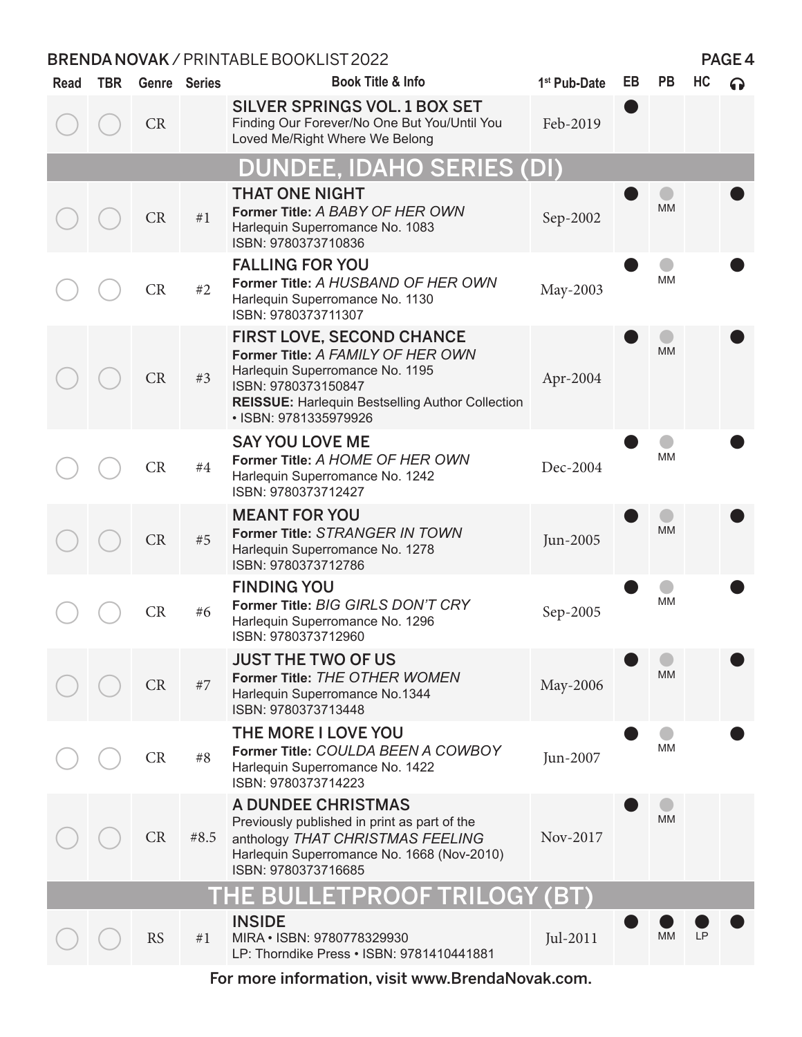| Read | <b>TBR</b> |           | Genre Series | Book Title & Info                                                                                                                                                                                                   | 1 <sup>st</sup> Pub-Date | EB | <b>PB</b> | HC |  |
|------|------------|-----------|--------------|---------------------------------------------------------------------------------------------------------------------------------------------------------------------------------------------------------------------|--------------------------|----|-----------|----|--|
|      |            | <b>CR</b> |              | <b>SILVER SPRINGS VOL. 1 BOX SET</b><br>Finding Our Forever/No One But You/Until You<br>Loved Me/Right Where We Belong                                                                                              | Feb-2019                 |    |           |    |  |
|      |            |           |              | <b>DUNDEE, IDAHO SERIES (DI)</b>                                                                                                                                                                                    |                          |    |           |    |  |
|      |            | CR        | #1           | <b>THAT ONE NIGHT</b><br>Former Title: A BABY OF HER OWN<br>Harlequin Superromance No. 1083<br>ISBN: 9780373710836                                                                                                  | Sep-2002                 |    | <b>MM</b> |    |  |
|      |            | CR        | #2           | <b>FALLING FOR YOU</b><br>Former Title: A HUSBAND OF HER OWN<br>Harlequin Superromance No. 1130<br>ISBN: 9780373711307                                                                                              | May-2003                 |    | MM        |    |  |
|      |            | CR        | #3           | <b>FIRST LOVE, SECOND CHANCE</b><br>Former Title: A FAMILY OF HER OWN<br>Harlequin Superromance No. 1195<br>ISBN: 9780373150847<br><b>REISSUE: Harlequin Bestselling Author Collection</b><br>· ISBN: 9781335979926 | Apr-2004                 |    | <b>MM</b> |    |  |
|      |            | CR        | #4           | <b>SAY YOU LOVE ME</b><br>Former Title: A HOME OF HER OWN<br>Harlequin Superromance No. 1242<br>ISBN: 9780373712427                                                                                                 | Dec-2004                 |    | МM        |    |  |
|      |            | CR        | #5           | <b>MEANT FOR YOU</b><br>Former Title: STRANGER IN TOWN<br>Harlequin Superromance No. 1278<br>ISBN: 9780373712786                                                                                                    | Jun-2005                 |    | <b>MM</b> |    |  |
|      |            | CR        | #6           | <b>FINDING YOU</b><br>Former Title: BIG GIRLS DON'T CRY<br>Harlequin Superromance No. 1296<br>ISBN: 9780373712960                                                                                                   | Sep-2005                 |    | МM        |    |  |
|      |            | <b>CR</b> | #7           | <b>JUST THE TWO OF US</b><br>Former Title: THE OTHER WOMEN<br>Harlequin Superromance No.1344<br>ISBN: 9780373713448                                                                                                 | May-2006                 |    | <b>MM</b> |    |  |
|      |            | CR        | #8           | THE MORE I LOVE YOU<br>Former Title: COULDA BEEN A COWBOY<br>Harlequin Superromance No. 1422<br>ISBN: 9780373714223                                                                                                 | Jun-2007                 |    | МM        |    |  |
|      |            | CR        | #8.5         | <b>A DUNDEE CHRISTMAS</b><br>Previously published in print as part of the<br>anthology THAT CHRISTMAS FEELING<br>Harlequin Superromance No. 1668 (Nov-2010)<br>ISBN: 9780373716685                                  | Nov-2017                 |    | <b>MM</b> |    |  |
|      |            |           |              | THE BULLETPROOF TRILOGY (BT)                                                                                                                                                                                        |                          |    |           |    |  |
|      |            | <b>RS</b> | #1           | <b>INSIDE</b><br>MIRA . ISBN: 9780778329930<br>LP: Thorndike Press . ISBN: 9781410441881                                                                                                                            | Jul-2011                 |    | МM        | LР |  |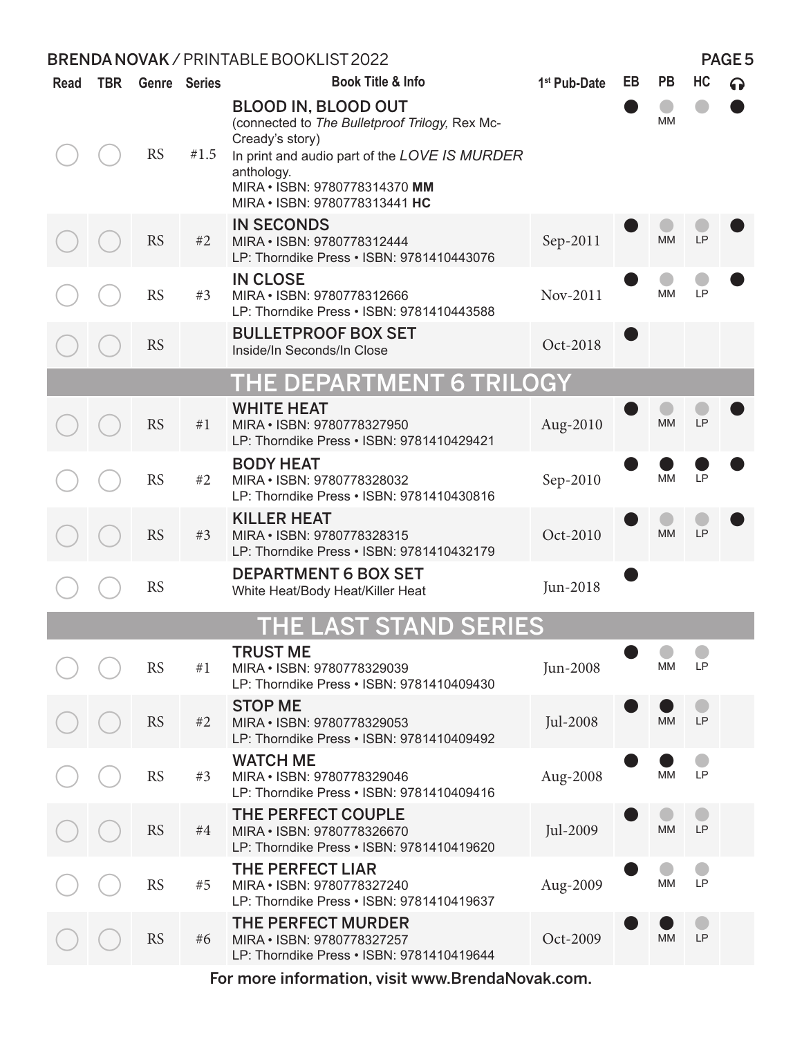| <b>Read</b> | <b>TBR</b> |           | Genre Series | Book Title & Info                                                                                                                                                                                                                | 1 <sup>st</sup> Pub-Date | EB | <b>PB</b> | HC |  |
|-------------|------------|-----------|--------------|----------------------------------------------------------------------------------------------------------------------------------------------------------------------------------------------------------------------------------|--------------------------|----|-----------|----|--|
|             |            | <b>RS</b> | #1.5         | <b>BLOOD IN, BLOOD OUT</b><br>(connected to The Bulletproof Trilogy, Rex Mc-<br>Cready's story)<br>In print and audio part of the LOVE IS MURDER<br>anthology.<br>MIRA . ISBN: 9780778314370 MM<br>MIRA . ISBN: 9780778313441 HC |                          |    | MМ        |    |  |
|             |            | <b>RS</b> | #2           | <b>IN SECONDS</b><br>MIRA . ISBN: 9780778312444<br>LP: Thorndike Press . ISBN: 9781410443076                                                                                                                                     | Sep-2011                 |    | <b>MM</b> | LP |  |
|             |            | <b>RS</b> | #3           | <b>IN CLOSE</b><br>MIRA . ISBN: 9780778312666<br>LP: Thorndike Press . ISBN: 9781410443588                                                                                                                                       | Nov-2011                 |    | <b>MM</b> | LP |  |
|             |            | <b>RS</b> |              | <b>BULLETPROOF BOX SET</b><br>Inside/In Seconds/In Close                                                                                                                                                                         | Oct-2018                 |    |           |    |  |
|             |            |           |              | THE DEPARTMENT 6 TRILOGY                                                                                                                                                                                                         |                          |    |           |    |  |
|             |            | <b>RS</b> | #1           | <b>WHITE HEAT</b><br>MIRA . ISBN: 9780778327950<br>LP: Thorndike Press . ISBN: 9781410429421                                                                                                                                     | Aug-2010                 |    | <b>MM</b> | LP |  |
|             |            | <b>RS</b> | #2           | <b>BODY HEAT</b><br>MIRA . ISBN: 9780778328032<br>LP: Thorndike Press . ISBN: 9781410430816                                                                                                                                      | Sep-2010                 |    | MM        | LP |  |
|             |            | <b>RS</b> | #3           | <b>KILLER HEAT</b><br>MIRA . ISBN: 9780778328315<br>LP: Thorndike Press . ISBN: 9781410432179                                                                                                                                    | Oct-2010                 |    | <b>MM</b> | LP |  |
|             |            | <b>RS</b> |              | <b>DEPARTMENT 6 BOX SET</b><br>White Heat/Body Heat/Killer Heat                                                                                                                                                                  | Jun-2018                 |    |           |    |  |
|             |            |           |              | <b>THE LAST STAND SERIES</b>                                                                                                                                                                                                     |                          |    |           |    |  |
|             |            | <b>RS</b> | #1           | <b>TRUST ME</b><br>MIRA . ISBN: 9780778329039<br>LP: Thorndike Press . ISBN: 9781410409430                                                                                                                                       | Jun-2008                 |    | <b>MM</b> | LP |  |
|             |            | <b>RS</b> | #2           | <b>STOP ME</b><br>MIRA . ISBN: 9780778329053<br>LP: Thorndike Press . ISBN: 9781410409492                                                                                                                                        | Jul-2008                 |    | <b>MM</b> | LP |  |
|             |            | <b>RS</b> | #3           | <b>WATCH ME</b><br>MIRA . ISBN: 9780778329046<br>LP: Thorndike Press . ISBN: 9781410409416                                                                                                                                       | Aug-2008                 |    | <b>MM</b> | LP |  |
|             |            | <b>RS</b> | #4           | THE PERFECT COUPLE<br>MIRA . ISBN: 9780778326670<br>LP: Thorndike Press . ISBN: 9781410419620                                                                                                                                    | Jul-2009                 |    | <b>MM</b> | LP |  |
|             |            | <b>RS</b> | #5           | <b>THE PERFECT LIAR</b><br>MIRA · ISBN: 9780778327240<br>LP: Thorndike Press . ISBN: 9781410419637                                                                                                                               | Aug-2009                 |    | MM        | LP |  |
|             |            | RS        | #6           | <b>THE PERFECT MURDER</b><br>MIRA . ISBN: 9780778327257<br>LP: Thorndike Press . ISBN: 9781410419644                                                                                                                             | Oct-2009                 |    | <b>MM</b> | LP |  |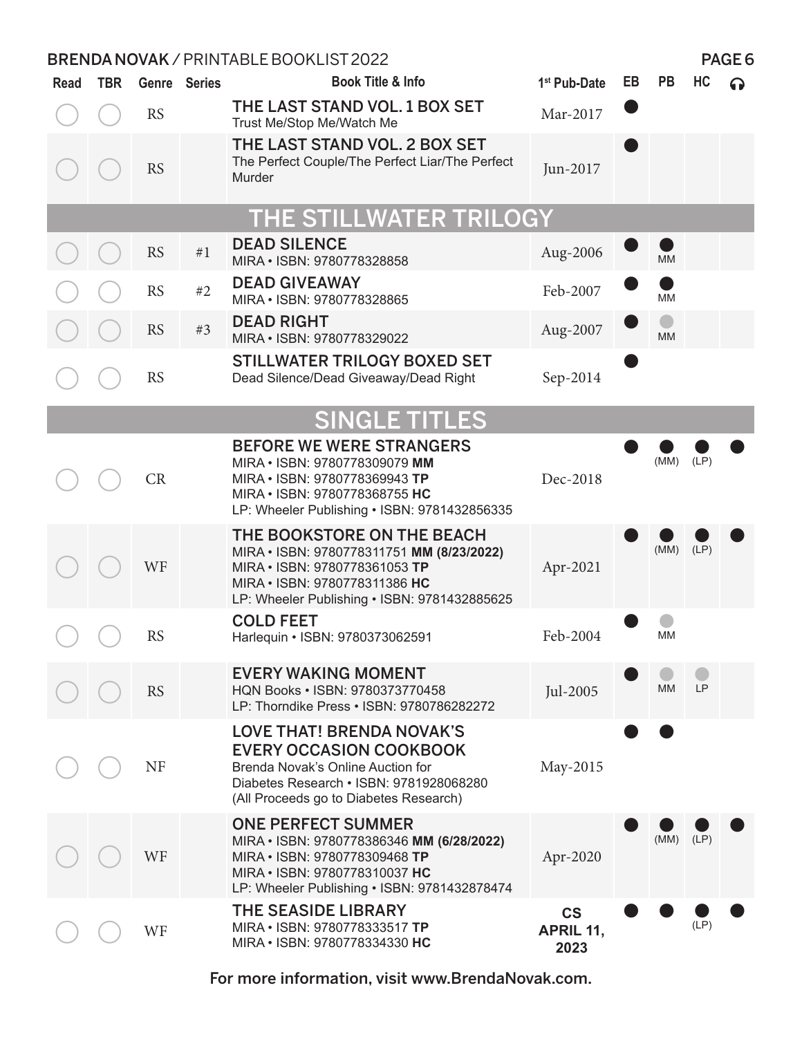| <b>Read</b> | <b>TBR</b> |           | <b>Genre</b> Series | <b>Book Title &amp; Info</b>                                                                                                                                                                 | 1 <sup>st</sup> Pub-Date                      | EB | <b>PB</b> | HC        | ဂ |
|-------------|------------|-----------|---------------------|----------------------------------------------------------------------------------------------------------------------------------------------------------------------------------------------|-----------------------------------------------|----|-----------|-----------|---|
|             |            | <b>RS</b> |                     | THE LAST STAND VOL. 1 BOX SET<br>Trust Me/Stop Me/Watch Me                                                                                                                                   | Mar-2017                                      |    |           |           |   |
|             |            | <b>RS</b> |                     | THE LAST STAND VOL. 2 BOX SET<br>The Perfect Couple/The Perfect Liar/The Perfect<br>Murder                                                                                                   | Jun-2017                                      |    |           |           |   |
|             |            |           |                     | THE STILLWATER TRILOGY                                                                                                                                                                       |                                               |    |           |           |   |
|             |            | <b>RS</b> | #1                  | <b>DEAD SILENCE</b><br>MIRA · ISBN: 9780778328858                                                                                                                                            | Aug-2006                                      |    | <b>MM</b> |           |   |
|             |            | <b>RS</b> | #2                  | <b>DEAD GIVEAWAY</b><br>MIRA . ISBN: 9780778328865                                                                                                                                           | Feb-2007                                      |    | MM        |           |   |
|             |            | <b>RS</b> | #3                  | <b>DEAD RIGHT</b><br>MIRA . ISBN: 9780778329022                                                                                                                                              | Aug-2007                                      |    | <b>MM</b> |           |   |
|             |            | <b>RS</b> |                     | <b>STILLWATER TRILOGY BOXED SET</b><br>Dead Silence/Dead Giveaway/Dead Right                                                                                                                 | Sep-2014                                      |    |           |           |   |
|             |            |           |                     | <b>SINGLE TITLES</b>                                                                                                                                                                         |                                               |    |           |           |   |
|             |            | CR        |                     | <b>BEFORE WE WERE STRANGERS</b><br>MIRA . ISBN: 9780778309079 MM<br>MIRA . ISBN: 9780778369943 TP<br>MIRA . ISBN: 9780778368755 HC<br>LP: Wheeler Publishing . ISBN: 9781432856335           | Dec-2018                                      |    | (MM)      | (LP)      |   |
|             |            | WF        |                     | THE BOOKSTORE ON THE BEACH<br>MIRA · ISBN: 9780778311751 MM (8/23/2022)<br>MIRA . ISBN: 9780778361053 TP<br>MIRA . ISBN: 9780778311386 HC<br>LP: Wheeler Publishing • ISBN: 9781432885625    | Apr-2021                                      |    | (MM)      | (LP)      |   |
|             |            | <b>RS</b> |                     | <b>COLD FEET</b><br>Harlequin • ISBN: 9780373062591                                                                                                                                          | Feb-2004                                      |    | MM        |           |   |
|             |            | <b>RS</b> |                     | <b>EVERY WAKING MOMENT</b><br>HQN Books . ISBN: 9780373770458<br>LP: Thorndike Press . ISBN: 9780786282272                                                                                   | Jul-2005                                      |    | <b>MM</b> | <b>LP</b> |   |
|             |            | <b>NF</b> |                     | <b>LOVE THAT! BRENDA NOVAK'S</b><br><b>EVERY OCCASION COOKBOOK</b><br>Brenda Novak's Online Auction for<br>Diabetes Research • ISBN: 9781928068280<br>(All Proceeds go to Diabetes Research) | May-2015                                      |    |           |           |   |
|             |            | WF        |                     | <b>ONE PERFECT SUMMER</b><br>MIRA · ISBN: 9780778386346 MM (6/28/2022)<br>MIRA • ISBN: 9780778309468 TP<br>MIRA . ISBN: 9780778310037 HC<br>LP: Wheeler Publishing . ISBN: 9781432878474     | Apr-2020                                      |    | (MM)      | (LP)      |   |
|             |            | WF        |                     | <b>THE SEASIDE LIBRARY</b><br>MIRA . ISBN: 9780778333517 TP<br>MIRA . ISBN: 9780778334330 HC                                                                                                 | $\mathsf{CS}\phantom{0}$<br>APRIL 11,<br>2023 |    |           | (LP)      |   |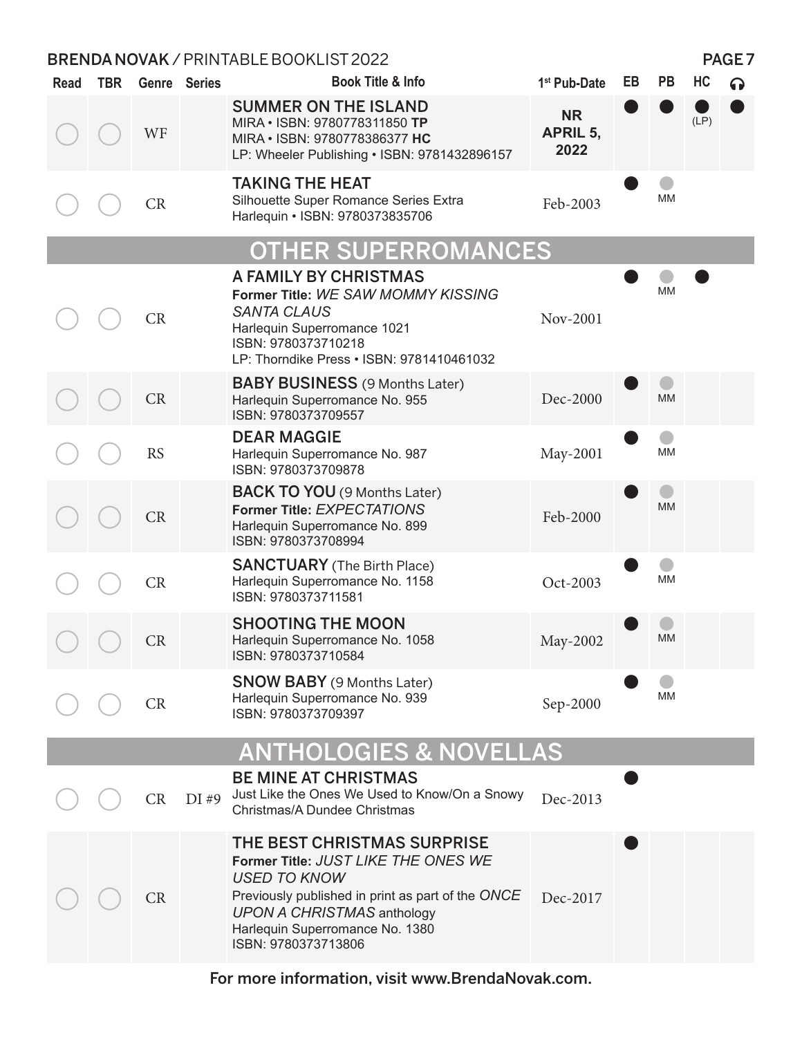| Read | <b>TBR</b> |           | Genre Series | <b>Book Title &amp; Info</b>                                                                                                                                                                                                                  | 1 <sup>st</sup> Pub-Date      | EB | <b>PB</b> | HC   | 6) |
|------|------------|-----------|--------------|-----------------------------------------------------------------------------------------------------------------------------------------------------------------------------------------------------------------------------------------------|-------------------------------|----|-----------|------|----|
|      |            | WF        |              | <b>SUMMER ON THE ISLAND</b><br>MIRA . ISBN: 9780778311850 TP<br>MIRA . ISBN: 9780778386377 HC<br>LP: Wheeler Publishing . ISBN: 9781432896157                                                                                                 | <b>NR</b><br>APRIL 5,<br>2022 |    |           | (LP) |    |
|      |            | <b>CR</b> |              | <b>TAKING THE HEAT</b><br>Silhouette Super Romance Series Extra<br>Harlequin • ISBN: 9780373835706                                                                                                                                            | Feb-2003                      |    | MM        |      |    |
|      |            |           |              | <b>OTHER SUPERROMANCES</b>                                                                                                                                                                                                                    |                               |    |           |      |    |
|      |            | CR        |              | A FAMILY BY CHRISTMAS<br>Former Title: WE SAW MOMMY KISSING<br><b>SANTA CLAUS</b><br>Harlequin Superromance 1021<br>ISBN: 9780373710218<br>LP: Thorndike Press . ISBN: 9781410461032                                                          | Nov-2001                      |    | MМ        |      |    |
|      |            | CR        |              | <b>BABY BUSINESS</b> (9 Months Later)<br>Harlequin Superromance No. 955<br>ISBN: 9780373709557                                                                                                                                                | Dec-2000                      |    | <b>MM</b> |      |    |
|      |            | <b>RS</b> |              | <b>DEAR MAGGIE</b><br>Harlequin Superromance No. 987<br>ISBN: 9780373709878                                                                                                                                                                   | May-2001                      |    | ΜM        |      |    |
|      |            | CR        |              | <b>BACK TO YOU</b> (9 Months Later)<br>Former Title: EXPECTATIONS<br>Harlequin Superromance No. 899<br>ISBN: 9780373708994                                                                                                                    | Feb-2000                      |    | <b>MM</b> |      |    |
|      |            | CR        |              | <b>SANCTUARY</b> (The Birth Place)<br>Harlequin Superromance No. 1158<br>ISBN: 9780373711581                                                                                                                                                  | Oct-2003                      |    | MM        |      |    |
|      |            | CR        |              | <b>SHOOTING THE MOON</b><br>Harlequin Superromance No. 1058<br>ISBN: 9780373710584                                                                                                                                                            | May-2002                      |    | <b>MM</b> |      |    |
|      |            | <b>CR</b> |              | <b>SNOW BABY</b> (9 Months Later)<br>Harlequin Superromance No. 939<br>ISBN: 9780373709397                                                                                                                                                    | Sep-2000                      |    | MM        |      |    |
|      |            |           |              | <b>ANTHOLOGIES &amp; NOVELLAS</b>                                                                                                                                                                                                             |                               |    |           |      |    |
|      |            | CR        | DI#9         | <b>BE MINE AT CHRISTMAS</b><br>Just Like the Ones We Used to Know/On a Snowy<br>Christmas/A Dundee Christmas                                                                                                                                  | Dec-2013                      |    |           |      |    |
|      |            | <b>CR</b> |              | THE BEST CHRISTMAS SURPRISE<br>Former Title: JUST LIKE THE ONES WE<br><b>USED TO KNOW</b><br>Previously published in print as part of the ONCE<br><b>UPON A CHRISTMAS anthology</b><br>Harlequin Superromance No. 1380<br>ISBN: 9780373713806 | Dec-2017                      |    |           |      |    |